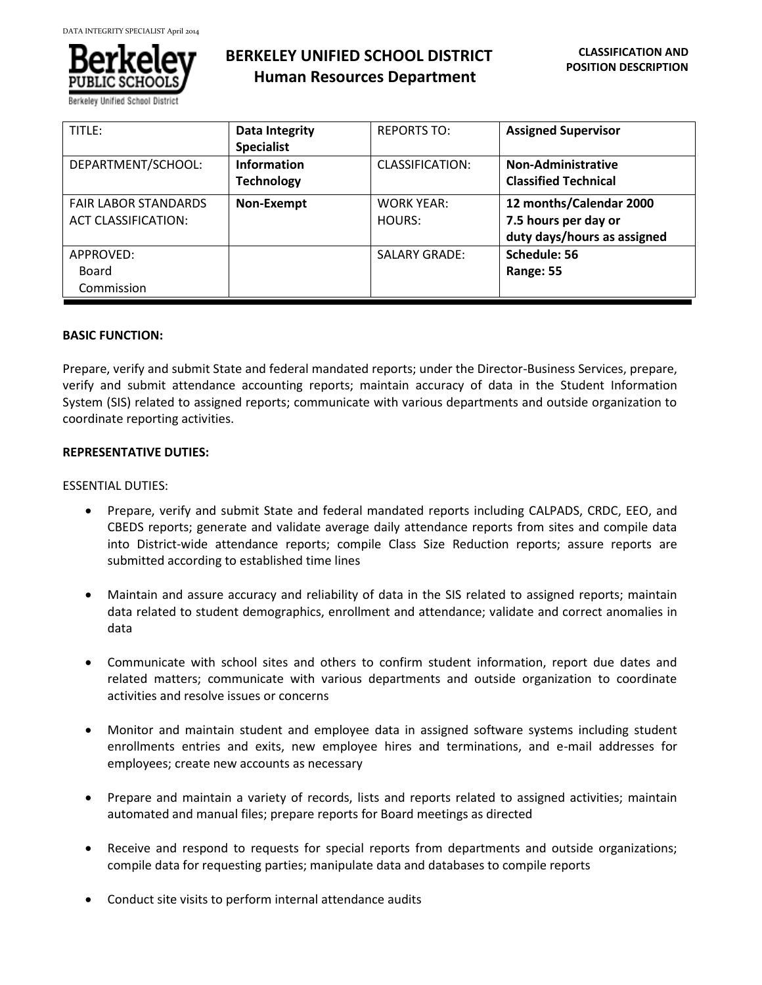

Berkeley Unified School Dis

# **BERKELEY UNIFIED SCHOOL DISTRICT Human Resources Department**

| TITLE:                                                    | <b>Data Integrity</b><br><b>Specialist</b> | <b>REPORTS TO:</b>          | <b>Assigned Supervisor</b>                                                     |
|-----------------------------------------------------------|--------------------------------------------|-----------------------------|--------------------------------------------------------------------------------|
| DEPARTMENT/SCHOOL:                                        | <b>Information</b><br><b>Technology</b>    | <b>CLASSIFICATION:</b>      | <b>Non-Administrative</b><br><b>Classified Technical</b>                       |
| <b>FAIR LABOR STANDARDS</b><br><b>ACT CLASSIFICATION:</b> | Non-Exempt                                 | <b>WORK YEAR:</b><br>HOURS: | 12 months/Calendar 2000<br>7.5 hours per day or<br>duty days/hours as assigned |
| APPROVED:<br>Board<br>Commission                          |                                            | <b>SALARY GRADE:</b>        | Schedule: 56<br>Range: 55                                                      |

# **BASIC FUNCTION:**

Prepare, verify and submit State and federal mandated reports; under the Director-Business Services, prepare, verify and submit attendance accounting reports; maintain accuracy of data in the Student Information System (SIS) related to assigned reports; communicate with various departments and outside organization to coordinate reporting activities.

#### **REPRESENTATIVE DUTIES:**

#### ESSENTIAL DUTIES:

- Prepare, verify and submit State and federal mandated reports including CALPADS, CRDC, EEO, and CBEDS reports; generate and validate average daily attendance reports from sites and compile data into District-wide attendance reports; compile Class Size Reduction reports; assure reports are submitted according to established time lines
- Maintain and assure accuracy and reliability of data in the SIS related to assigned reports; maintain data related to student demographics, enrollment and attendance; validate and correct anomalies in data
- Communicate with school sites and others to confirm student information, report due dates and related matters; communicate with various departments and outside organization to coordinate activities and resolve issues or concerns
- Monitor and maintain student and employee data in assigned software systems including student enrollments entries and exits, new employee hires and terminations, and e-mail addresses for employees; create new accounts as necessary
- Prepare and maintain a variety of records, lists and reports related to assigned activities; maintain automated and manual files; prepare reports for Board meetings as directed
- Receive and respond to requests for special reports from departments and outside organizations; compile data for requesting parties; manipulate data and databases to compile reports
- Conduct site visits to perform internal attendance audits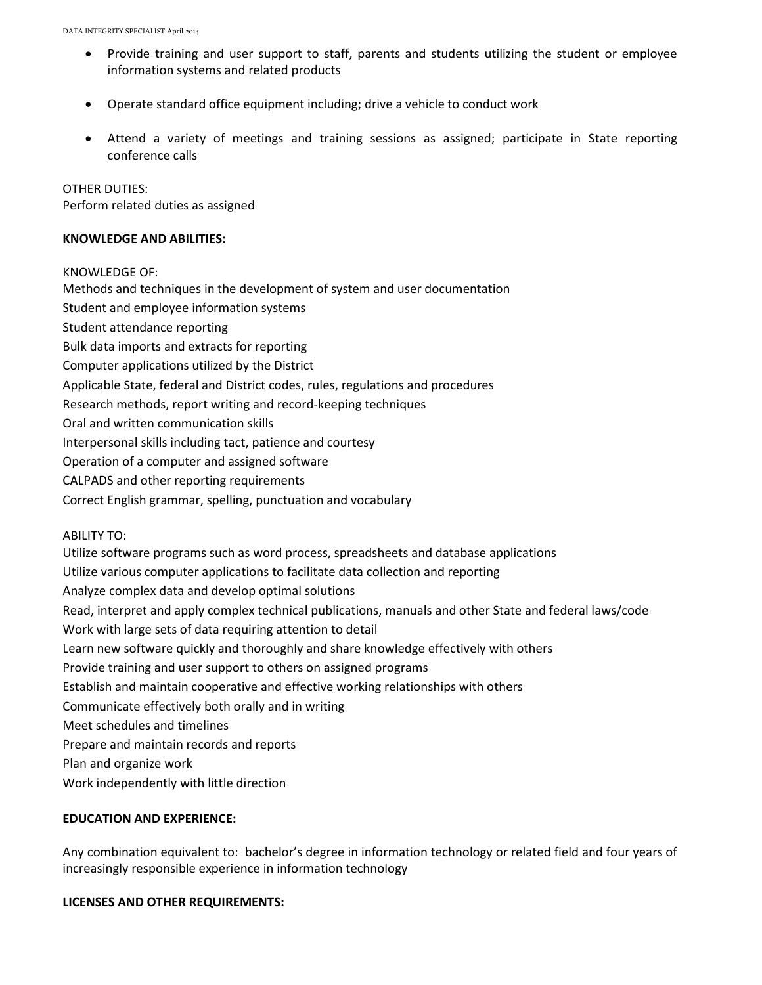- Provide training and user support to staff, parents and students utilizing the student or employee information systems and related products
- Operate standard office equipment including; drive a vehicle to conduct work
- Attend a variety of meetings and training sessions as assigned; participate in State reporting conference calls

OTHER DUTIES: Perform related duties as assigned

#### **KNOWLEDGE AND ABILITIES:**

KNOWLEDGE OF:

Methods and techniques in the development of system and user documentation Student and employee information systems Student attendance reporting Bulk data imports and extracts for reporting Computer applications utilized by the District Applicable State, federal and District codes, rules, regulations and procedures Research methods, report writing and record-keeping techniques Oral and written communication skills Interpersonal skills including tact, patience and courtesy Operation of a computer and assigned software CALPADS and other reporting requirements Correct English grammar, spelling, punctuation and vocabulary ABILITY TO:

Utilize software programs such as word process, spreadsheets and database applications Utilize various computer applications to facilitate data collection and reporting Analyze complex data and develop optimal solutions Read, interpret and apply complex technical publications, manuals and other State and federal laws/code Work with large sets of data requiring attention to detail Learn new software quickly and thoroughly and share knowledge effectively with others Provide training and user support to others on assigned programs Establish and maintain cooperative and effective working relationships with others Communicate effectively both orally and in writing Meet schedules and timelines Prepare and maintain records and reports Plan and organize work Work independently with little direction

# **EDUCATION AND EXPERIENCE:**

Any combination equivalent to: bachelor's degree in information technology or related field and four years of increasingly responsible experience in information technology

# **LICENSES AND OTHER REQUIREMENTS:**